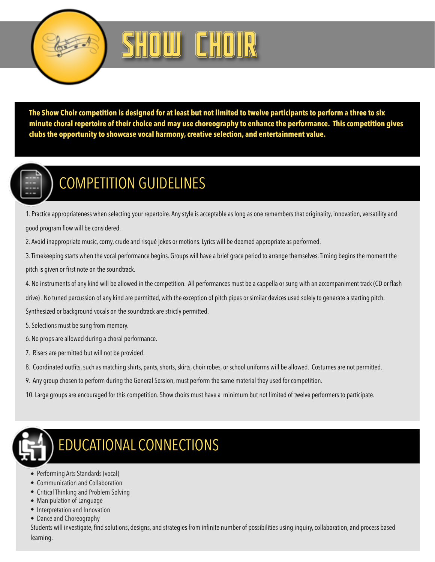

## SHOW CHOIR

**The Show Choir competition is designed for at least but not limited to twelve participants to perform a three to six minute choral repertoire of their choice and may use choreography to enhance the performance. This competition gives clubs the opportunity to showcase vocal harmony, creative selection, and entertainment value.** 



## COMPETITION GUIDELINES

1. Practice appropriateness when selecting your repertoire. Any style is acceptable as long as one remembers that originality, innovation, versatility and good program flow will be considered.

2. Avoid inappropriate music, corny, crude and risqué jokes or motions. Lyrics will be deemed appropriate as performed.

3. Timekeeping starts when the vocal performance begins. Groups will have a brief grace period to arrange themselves. Timing begins the moment the pitch is given or first note on the soundtrack.

4. No instruments of any kind will be allowed in the competition. All performances must be a cappella or sung with an accompaniment track (CD or flash

drive) . No tuned percussion of any kind are permitted, with the exception of pitch pipes or similar devices used solely to generate a starting pitch.

Synthesized or background vocals on the soundtrack are strictly permitted.

5. Selections must be sung from memory.

- 6. No props are allowed during a choral performance.
- 7. Risers are permitted but will not be provided.
- 8. Coordinated outfits, such as matching shirts, pants, shorts, skirts, choir robes, or school uniforms will be allowed. Costumes are not permitted.
- 9. Any group chosen to perform during the General Session, must perform the same material they used for competition.
- 10. Large groups are encouraged for this competition. Show choirs must have a minimum but not limited of twelve performers to participate.



## EDUCATIONAL CONNECTIONS

- Performing Arts Standards (vocal)
- Communication and Collaboration
- Critical Thinking and Problem Solving
- Manipulation of Language
- Interpretation and Innovation
- Dance and Choreography

Students will investigate, find solutions, designs, and strategies from infinite number of possibilities using inquiry, collaboration, and process based learning.